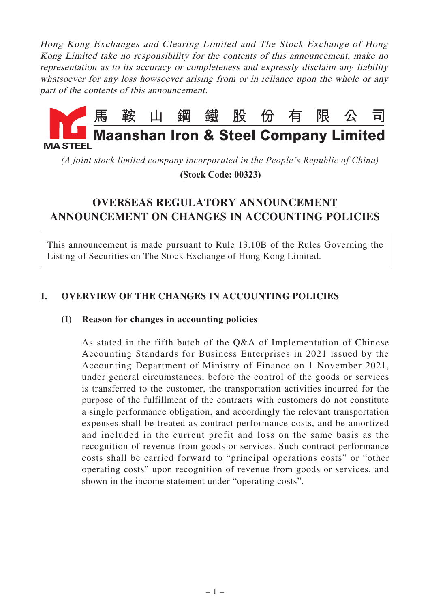Hong Kong Exchanges and Clearing Limited and The Stock Exchange of Hong Kong Limited take no responsibility for the contents of this announcement, make no representation as to its accuracy or completeness and expressly disclaim any liability whatsoever for any loss howsoever arising from or in reliance upon the whole or any part of the contents of this announcement.



*(A joint stock limited company incorporated in the People's Republic of China)*

 **(Stock Code: 00323)**

# **OVERSEAS REGULATORY ANNOUNCEMENT ANNOUNCEMENT ON CHANGES IN ACCOUNTING POLICIES**

This announcement is made pursuant to Rule 13.10B of the Rules Governing the Listing of Securities on The Stock Exchange of Hong Kong Limited.

# **I. OVERVIEW OF THE CHANGES IN ACCOUNTING POLICIES**

### **(I) Reason for changes in accounting policies**

As stated in the fifth batch of the Q&A of Implementation of Chinese Accounting Standards for Business Enterprises in 2021 issued by the Accounting Department of Ministry of Finance on 1 November 2021, under general circumstances, before the control of the goods or services is transferred to the customer, the transportation activities incurred for the purpose of the fulfillment of the contracts with customers do not constitute a single performance obligation, and accordingly the relevant transportation expenses shall be treated as contract performance costs, and be amortized and included in the current profit and loss on the same basis as the recognition of revenue from goods or services. Such contract performance costs shall be carried forward to "principal operations costs" or "other operating costs" upon recognition of revenue from goods or services, and shown in the income statement under "operating costs".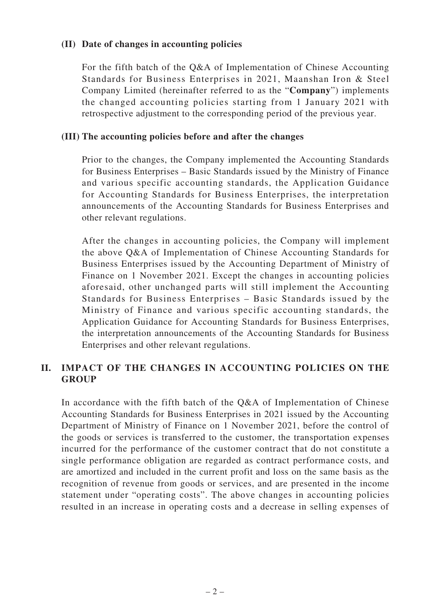#### **(II) Date of changes in accounting policies**

For the fifth batch of the Q&A of Implementation of Chinese Accounting Standards for Business Enterprises in 2021, Maanshan Iron & Steel Company Limited (hereinafter referred to as the "**Company**") implements the changed accounting policies starting from 1 January 2021 with retrospective adjustment to the corresponding period of the previous year.

#### **(III) The accounting policies before and after the changes**

Prior to the changes, the Company implemented the Accounting Standards for Business Enterprises – Basic Standards issued by the Ministry of Finance and various specific accounting standards, the Application Guidance for Accounting Standards for Business Enterprises, the interpretation announcements of the Accounting Standards for Business Enterprises and other relevant regulations.

After the changes in accounting policies, the Company will implement the above Q&A of Implementation of Chinese Accounting Standards for Business Enterprises issued by the Accounting Department of Ministry of Finance on 1 November 2021. Except the changes in accounting policies aforesaid, other unchanged parts will still implement the Accounting Standards for Business Enterprises – Basic Standards issued by the Ministry of Finance and various specific accounting standards, the Application Guidance for Accounting Standards for Business Enterprises, the interpretation announcements of the Accounting Standards for Business Enterprises and other relevant regulations.

# **II. IMPACT OF THE CHANGES IN ACCOUNTING POLICIES ON THE GROUP**

In accordance with the fifth batch of the Q&A of Implementation of Chinese Accounting Standards for Business Enterprises in 2021 issued by the Accounting Department of Ministry of Finance on 1 November 2021, before the control of the goods or services is transferred to the customer, the transportation expenses incurred for the performance of the customer contract that do not constitute a single performance obligation are regarded as contract performance costs, and are amortized and included in the current profit and loss on the same basis as the recognition of revenue from goods or services, and are presented in the income statement under "operating costs". The above changes in accounting policies resulted in an increase in operating costs and a decrease in selling expenses of